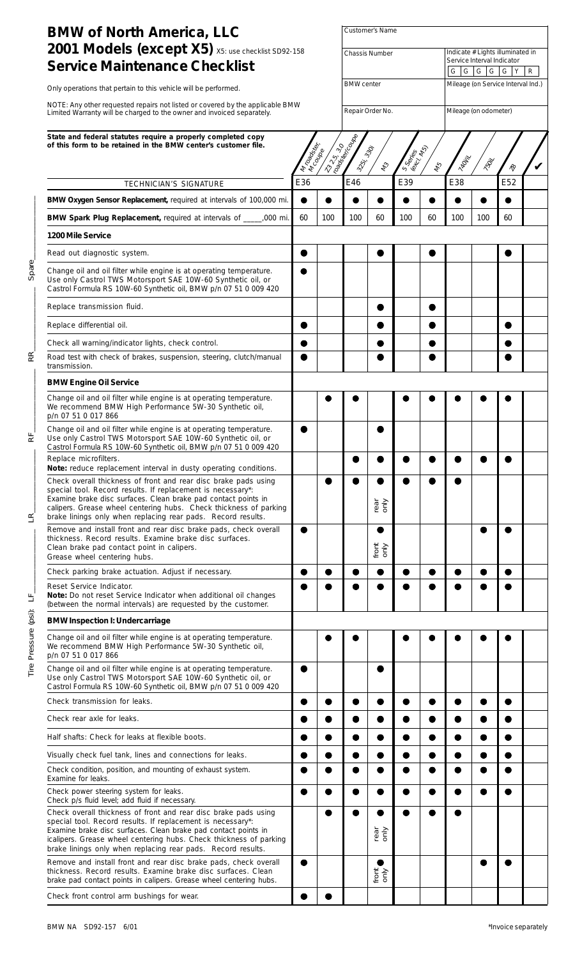| <b>BMW of North America, LLC</b>                                                                                                                                                                                                                                                                                                      |                   |              | Customer's Name       |                   |                                         |                                                                                     |       |                       |               |  |  |
|---------------------------------------------------------------------------------------------------------------------------------------------------------------------------------------------------------------------------------------------------------------------------------------------------------------------------------------|-------------------|--------------|-----------------------|-------------------|-----------------------------------------|-------------------------------------------------------------------------------------|-------|-----------------------|---------------|--|--|
| 2001 Models (except X5) X5: use checklist SD92-158<br><b>Service Maintenance Checklist</b>                                                                                                                                                                                                                                            |                   |              | <b>Chassis Number</b> |                   |                                         | Indicate # Lights illuminated in<br>Service Interval Indicator<br>G G G G<br>G<br>R |       |                       |               |  |  |
| Only operations that pertain to this vehicle will be performed.                                                                                                                                                                                                                                                                       | <b>BMW</b> center |              |                       |                   | Y<br>Mileage (on Service Interval Ind.) |                                                                                     |       |                       |               |  |  |
| NOTE: Any other requested repairs not listed or covered by the applicable BMW<br>Limited Warranty will be charged to the owner and invoiced separately.                                                                                                                                                                               |                   |              |                       |                   |                                         |                                                                                     |       |                       |               |  |  |
|                                                                                                                                                                                                                                                                                                                                       |                   |              |                       | Repair Order No.  |                                         |                                                                                     |       | Mileage (on odometer) |               |  |  |
| State and federal statutes require a properly completed copy<br>of this form to be retained in the BMW center's customer file.                                                                                                                                                                                                        | Mrtoadsker        | L325.30 Vole | 325-                  | 330<br>123        | S Series<br>(exeries                    | 48                                                                                  | 740HV | 1504                  | $\mathcal{R}$ |  |  |
| TECHNICIAN'S SIGNATURE                                                                                                                                                                                                                                                                                                                | E36               |              | E46                   |                   | E39                                     |                                                                                     | E38   |                       | E52           |  |  |
| BMW Oxygen Sensor Replacement, required at intervals of 100,000 mi.                                                                                                                                                                                                                                                                   | $\bullet$         |              |                       | ●                 |                                         |                                                                                     |       |                       |               |  |  |
| BMW Spark Plug Replacement, required at intervals of ___<br>,000 mi.                                                                                                                                                                                                                                                                  | 60                | 100          | 100                   | 60                | 100                                     | 60                                                                                  | 100   | 100                   | 60            |  |  |
| 1200 Mile Service                                                                                                                                                                                                                                                                                                                     |                   |              |                       |                   |                                         |                                                                                     |       |                       |               |  |  |
| Read out diagnostic system.                                                                                                                                                                                                                                                                                                           |                   |              |                       |                   |                                         |                                                                                     |       |                       |               |  |  |
| Change oil and oil filter while engine is at operating temperature.<br>Use only Castrol TWS Motorsport SAE 10W-60 Synthetic oil, or<br>Castrol Formula RS 10W-60 Synthetic oil, BMW p/n 07 51 0 009 420                                                                                                                               |                   |              |                       |                   |                                         |                                                                                     |       |                       |               |  |  |
| Replace transmission fluid.                                                                                                                                                                                                                                                                                                           |                   |              |                       |                   |                                         |                                                                                     |       |                       |               |  |  |
| Replace differential oil.                                                                                                                                                                                                                                                                                                             |                   |              |                       |                   |                                         |                                                                                     |       |                       |               |  |  |
| Check all warning/indicator lights, check control.                                                                                                                                                                                                                                                                                    |                   |              |                       |                   |                                         |                                                                                     |       |                       |               |  |  |
| Road test with check of brakes, suspension, steering, clutch/manual<br>transmission.                                                                                                                                                                                                                                                  |                   |              |                       |                   |                                         |                                                                                     |       |                       |               |  |  |
| <b>BMW Engine Oil Service</b>                                                                                                                                                                                                                                                                                                         |                   |              |                       |                   |                                         |                                                                                     |       |                       |               |  |  |
| Change oil and oil filter while engine is at operating temperature.<br>We recommend BMW High Performance 5W-30 Synthetic oil,<br>p/n 07 51 0 017 866                                                                                                                                                                                  |                   |              |                       |                   |                                         |                                                                                     |       |                       |               |  |  |
| Change oil and oil filter while engine is at operating temperature.<br>Use only Castrol TWS Motorsport SAE 10W-60 Synthetic oil, or<br>Castrol Formula RS 10W-60 Synthetic oil, BMW p/n 07 51 0 009 420                                                                                                                               |                   |              |                       |                   |                                         |                                                                                     |       |                       |               |  |  |
| Replace microfilters.<br>Note: reduce replacement interval in dusty operating conditions.                                                                                                                                                                                                                                             |                   |              |                       |                   |                                         |                                                                                     |       |                       |               |  |  |
| Check overall thickness of front and rear disc brake pads using<br>special tool. Record results. If replacement is necessary*:<br>Examine brake disc surfaces. Clean brake pad contact points in<br>calipers. Grease wheel centering hubs. Check thickness of parking<br>brake linings only when replacing rear pads. Record results. |                   |              | e                     | ●<br>rear<br>only | ●                                       |                                                                                     |       |                       |               |  |  |
| Remove and install front and rear disc brake pads, check overall<br>thickness. Record results. Examine brake disc surfaces.<br>Clean brake pad contact point in calipers.<br>Grease wheel centering hubs.                                                                                                                             |                   |              |                       | front<br>only     |                                         |                                                                                     |       |                       |               |  |  |
| Check parking brake actuation. Adjust if necessary.                                                                                                                                                                                                                                                                                   | $\bullet$         | ●            | ●                     | $\bullet$         | $\bullet$                               | ●                                                                                   |       |                       | ●             |  |  |
| Reset Service Indicator.<br>Note: Do not reset Service Indicator when additional oil changes<br>(between the normal intervals) are requested by the customer.                                                                                                                                                                         |                   |              |                       |                   |                                         |                                                                                     |       |                       |               |  |  |
| <b>BMW Inspection I: Undercarriage</b>                                                                                                                                                                                                                                                                                                |                   |              |                       |                   |                                         |                                                                                     |       |                       |               |  |  |
| Change oil and oil filter while engine is at operating temperature.<br>We recommend BMW High Performance 5W-30 Synthetic oil,<br>p/n 07 51 0 017 866                                                                                                                                                                                  |                   |              |                       |                   |                                         |                                                                                     |       |                       |               |  |  |
| Change oil and oil filter while engine is at operating temperature.<br>Use only Castrol TWS Motorsport SAE 10W-60 Synthetic oil, or<br>Castrol Formula RS 10W-60 Synthetic oil, BMW p/n 07 51 0 009 420                                                                                                                               | $\bullet$         |              |                       | e                 |                                         |                                                                                     |       |                       |               |  |  |
| Check transmission for leaks.                                                                                                                                                                                                                                                                                                         |                   |              |                       | ●                 | D                                       |                                                                                     |       |                       |               |  |  |
| Check rear axle for leaks.                                                                                                                                                                                                                                                                                                            |                   |              |                       | ●                 |                                         |                                                                                     |       |                       |               |  |  |
| Half shafts: Check for leaks at flexible boots.                                                                                                                                                                                                                                                                                       |                   | $\bullet$    | ●                     | ●                 | ●                                       |                                                                                     |       |                       |               |  |  |
| Visually check fuel tank, lines and connections for leaks.                                                                                                                                                                                                                                                                            |                   |              |                       |                   |                                         |                                                                                     |       |                       |               |  |  |
| Check condition, position, and mounting of exhaust system.<br>Examine for leaks.                                                                                                                                                                                                                                                      |                   |              |                       |                   |                                         |                                                                                     |       |                       |               |  |  |
| Check power steering system for leaks.                                                                                                                                                                                                                                                                                                |                   |              |                       |                   |                                         |                                                                                     |       |                       |               |  |  |
| Check p/s fluid level; add fluid if necessary.<br>Check overall thickness of front and rear disc brake pads using<br>special tool. Record results. If replacement is necessary*:<br>Examine brake disc surfaces. Clean brake pad contact points in                                                                                    |                   |              | $\bullet$             | rear<br>only      |                                         | ●                                                                                   |       |                       |               |  |  |
| icalipers. Grease wheel centering hubs. Check thickness of parking<br>brake linings only when replacing rear pads. Record results.                                                                                                                                                                                                    |                   |              |                       |                   |                                         |                                                                                     |       |                       |               |  |  |
| Remove and install front and rear disc brake pads, check overall<br>thickness. Record results. Examine brake disc surfaces. Clean<br>brake pad contact points in calipers. Grease wheel centering hubs.                                                                                                                               |                   |              |                       | front<br>only     |                                         |                                                                                     |       |                       |               |  |  |
| Check front control arm bushings for wear.                                                                                                                                                                                                                                                                                            |                   |              |                       |                   |                                         |                                                                                     |       |                       |               |  |  |

Tire Pressure (psi): LF\_\_\_\_\_\_\_\_\_\_\_\_\_\_\_\_ LR\_\_\_\_\_\_\_\_\_\_\_\_\_\_\_\_ RF\_\_\_\_\_\_\_\_\_\_\_\_\_\_\_\_ RR\_\_\_\_\_\_\_\_\_\_\_\_\_\_\_\_ Spare\_\_\_\_\_\_\_\_\_\_\_\_\_\_\_\_

 $\overline{\mathbb{R}}$ 

 $\mathbf{z}^{\prime}$ 

Tire Pressure (psi): LF\_

 $\mathbb{R}^{\mathsf{I}}$ 

Spare\_